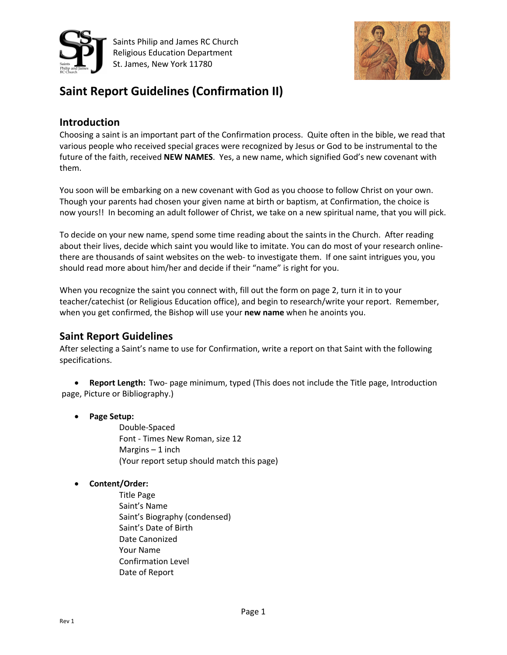

Saints Philip and James RC Church Religious Education Department St. James, New York 11780



## **Saint Report Guidelines (Confirmation II)**

## **Introduction**

Choosing a saint is an important part of the Confirmation process. Quite often in the bible, we read that various people who received special graces were recognized by Jesus or God to be instrumental to the future of the faith, received **NEW NAMES**. Yes, a new name, which signified God's new covenant with them.

You soon will be embarking on a new covenant with God as you choose to follow Christ on your own. Though your parents had chosen your given name at birth or baptism, at Confirmation, the choice is now yours!! In becoming an adult follower of Christ, we take on a new spiritual name, that you will pick.

To decide on your new name, spend some time reading about the saints in the Church. After reading about their lives, decide which saint you would like to imitate. You can do most of your research onlinethere are thousands of saint websites on the web- to investigate them. If one saint intrigues you, you should read more about him/her and decide if their "name" is right for you.

When you recognize the saint you connect with, fill out the form on page 2, turn it in to your teacher/catechist (or Religious Education office), and begin to research/write your report. Remember, when you get confirmed, the Bishop will use your **new name** when he anoints you.

## **Saint Report Guidelines**

After selecting a Saint's name to use for Confirmation, write a report on that Saint with the following specifications.

• **Report Length:** Two- page minimum, typed (This does not include the Title page, Introduction page, Picture or Bibliography.)

• **Page Setup:**

Double-Spaced Font - Times New Roman, size 12 Margins  $-1$  inch (Your report setup should match this page)

• **Content/Order:**

Title Page Saint's Name Saint's Biography (condensed) Saint's Date of Birth Date Canonized Your Name Confirmation Level Date of Report